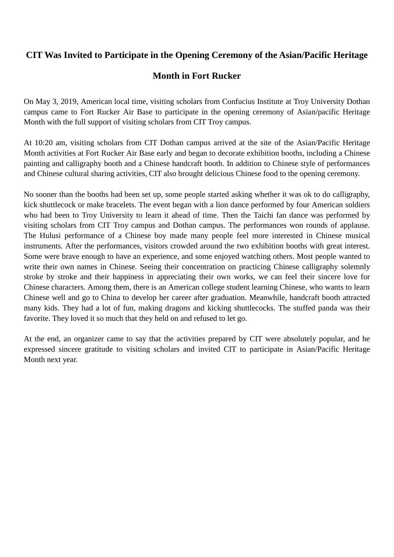## **CIT Was Invited to Participate in the Opening Ceremony of the Asian/Pacific Heritage**

## **Month in Fort Rucker**

On May 3, 2019, American local time, visiting scholars from Confucius Institute at Troy University Dothan campus came to Fort Rucker Air Base to participate in the opening ceremony of Asian/pacific Heritage Month with the full support of visiting scholars from CIT Troy campus.

At 10:20 am, visiting scholars from CIT Dothan campus arrived at the site of the Asian/Pacific Heritage Month activities at Fort Rucker Air Base early and began to decorate exhibition booths, including a Chinese painting and calligraphy booth and a Chinese handcraft booth. In addition to Chinese style of performances and Chinese cultural sharing activities, CIT also brought delicious Chinese food to the opening ceremony.

No sooner than the booths had been set up, some people started asking whether it was ok to do calligraphy, kick shuttlecock or make bracelets. The event began with a lion dance performed by four American soldiers who had been to Troy University to learn it ahead of time. Then the Taichi fan dance was performed by visiting scholars from CIT Troy campus and Dothan campus. The performances won rounds of applause. The Hulusi performance of a Chinese boy made many people feel more interested in Chinese musical instruments. After the performances, visitors crowded around the two exhibition booths with great interest. Some were brave enough to have an experience, and some enjoyed watching others. Most people wanted to write their own names in Chinese. Seeing their concentration on practicing Chinese calligraphy solemnly stroke by stroke and their happiness in appreciating their own works, we can feel their sincere love for Chinese characters. Among them, there is an American college student learning Chinese, who wants to learn Chinese well and go to China to develop her career after graduation. Meanwhile, handcraft booth attracted many kids. They had a lot of fun, making dragons and kicking shuttlecocks. The stuffed panda was their favorite. They loved it so much that they held on and refused to let go.

At the end, an organizer came to say that the activities prepared by CIT were absolutely popular, and he expressed sincere gratitude to visiting scholars and invited CIT to participate in Asian/Pacific Heritage Month next year.